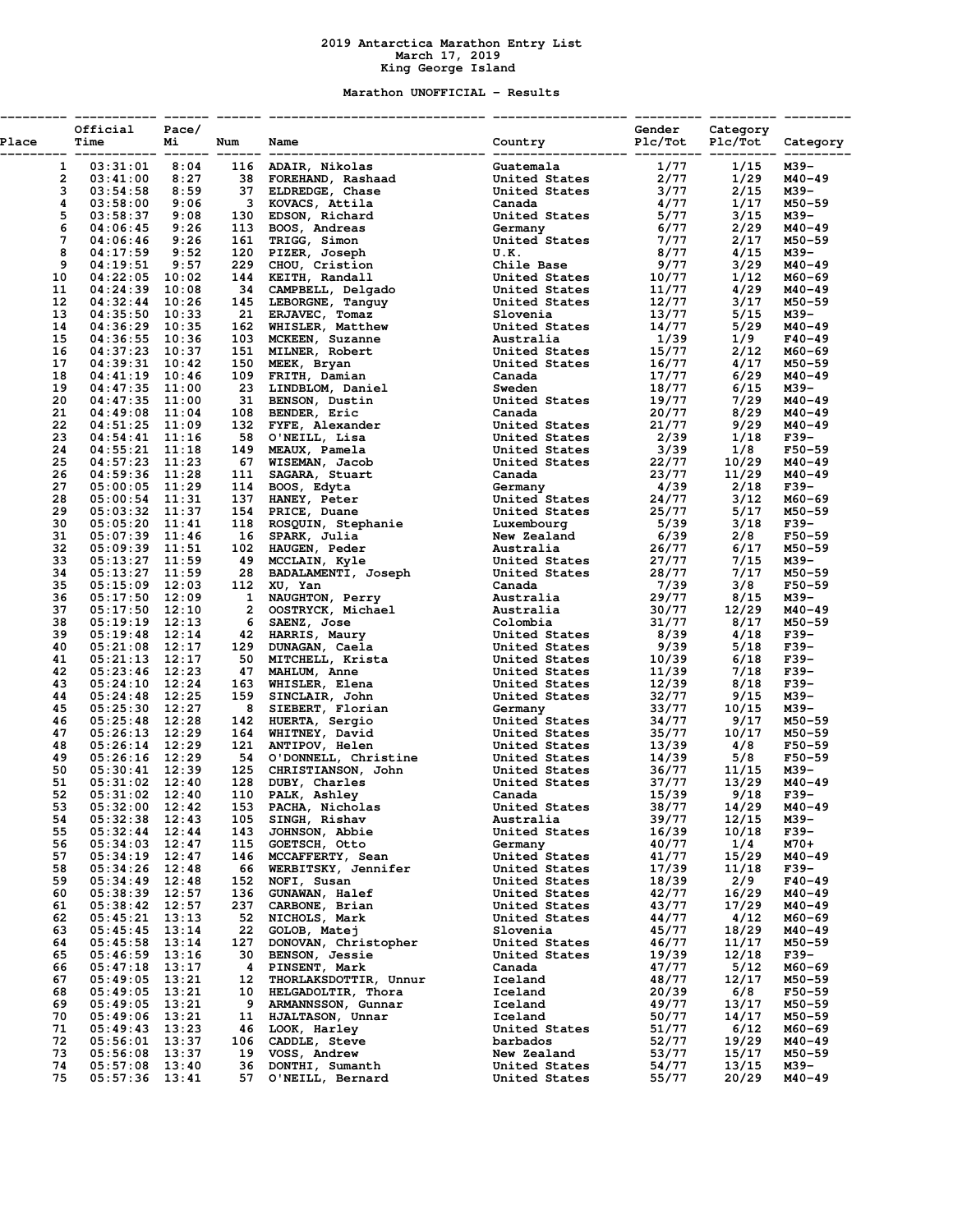## **2019 Antarctica Marathon Entry List March 17, 2019 King George Island**

## **Marathon UNOFFICIAL - Results**

| Place    | Official Pace/<br>Time               | Mi    | Num        | Name<br>----------- ------ ------ ------------ |                                |                |                |                  |
|----------|--------------------------------------|-------|------------|------------------------------------------------|--------------------------------|----------------|----------------|------------------|
|          |                                      |       |            |                                                |                                |                |                |                  |
|          |                                      |       |            |                                                |                                |                |                |                  |
|          |                                      |       |            |                                                |                                |                |                |                  |
|          |                                      |       |            |                                                |                                |                |                |                  |
|          |                                      |       |            |                                                |                                |                |                |                  |
|          |                                      |       |            |                                                |                                |                |                |                  |
|          |                                      |       |            |                                                |                                |                |                |                  |
|          |                                      |       |            |                                                |                                |                |                |                  |
|          |                                      |       |            |                                                |                                |                |                |                  |
|          |                                      |       |            |                                                |                                |                |                |                  |
|          |                                      |       |            |                                                |                                |                |                |                  |
|          |                                      |       |            |                                                |                                |                |                |                  |
|          |                                      |       |            |                                                |                                |                |                |                  |
|          |                                      |       |            |                                                |                                |                |                |                  |
|          |                                      |       |            |                                                |                                |                |                |                  |
|          |                                      |       |            |                                                |                                |                |                |                  |
|          |                                      |       |            |                                                |                                |                |                |                  |
|          |                                      |       |            |                                                |                                |                |                |                  |
|          |                                      |       |            |                                                |                                |                |                |                  |
|          |                                      |       |            |                                                |                                |                |                |                  |
|          |                                      |       |            |                                                |                                |                |                |                  |
|          |                                      |       |            |                                                |                                |                |                |                  |
|          |                                      |       |            |                                                |                                |                |                |                  |
|          |                                      |       |            |                                                |                                |                |                |                  |
|          |                                      |       |            |                                                |                                |                |                |                  |
|          |                                      |       |            |                                                |                                |                |                |                  |
|          |                                      |       |            |                                                |                                |                |                |                  |
|          |                                      |       |            |                                                |                                |                |                |                  |
|          |                                      |       |            |                                                |                                |                |                |                  |
|          |                                      |       |            |                                                |                                |                |                |                  |
|          |                                      |       |            |                                                |                                |                |                |                  |
|          |                                      |       |            |                                                |                                |                |                |                  |
|          |                                      |       |            |                                                |                                |                |                |                  |
|          |                                      |       |            |                                                |                                |                |                |                  |
|          |                                      |       |            |                                                |                                |                |                |                  |
|          |                                      |       |            |                                                |                                |                |                |                  |
|          |                                      |       |            |                                                |                                |                |                |                  |
|          |                                      |       |            |                                                |                                |                |                |                  |
|          |                                      |       |            |                                                |                                |                |                |                  |
|          |                                      |       |            |                                                |                                |                |                |                  |
|          |                                      |       |            |                                                |                                |                |                |                  |
|          |                                      |       |            |                                                |                                |                |                |                  |
|          |                                      |       |            |                                                |                                |                |                |                  |
|          |                                      |       |            |                                                |                                |                |                |                  |
|          |                                      |       |            |                                                |                                |                |                |                  |
|          |                                      |       |            |                                                |                                |                |                |                  |
|          |                                      |       |            |                                                |                                |                |                |                  |
|          |                                      |       |            |                                                |                                |                |                |                  |
|          |                                      |       |            |                                                |                                |                |                |                  |
|          |                                      |       |            |                                                |                                |                |                |                  |
| 54       | $05:32:38$ 12:43                     |       | 105        | SINGH, Rishav                                  | Australia                      | 39/77          | 12/15          | M39-             |
| 55       | $05:32:44$ 12:44                     |       | 143        | JOHNSON, Abbie                                 | United States                  | 16/39          | 10/18          | F39-             |
| 56       | $05:34:03$ 12:47                     |       | 115        | GOETSCH, Otto                                  | Germany                        | 40/77          | 1/4            | M70+             |
| 57       | $05:34:19$ 12:47                     |       |            | 146 MCCAFFERTY, Sean                           | United States                  | 41/77          | 15/29          | M40-49           |
| 58       | $05:34:26$ 12:48                     |       | 66         | WERBITSKY, Jennifer                            | United States                  | 17/39          | 11/18          | F39-             |
| 59       | $05:34:49$ 12:48                     |       | 152        | NOFI, Susan                                    | United States                  | 18/39          | 2/9            | $F40 - 49$       |
| 60<br>61 | $05:38:39$ 12:57<br>$05:38:42$ 12:57 |       | 136<br>237 | <b>GUNAWAN, Halef</b><br>CARBONE, Brian        | United States<br>United States | 42/77<br>43/77 | 16/29<br>17/29 | M40-49<br>M40-49 |
| 62       | $05:45:21$ 13:13                     |       | 52         | NICHOLS, Mark                                  | United States                  | 44/77          | 4/12           | M60-69           |
| 63       | $05:45:45$ 13:14                     |       | 22         | GOLOB, Matej                                   | Slovenia                       | 45/77          | 18/29          | M40-49           |
| 64       | $05:45:58$ 13:14                     |       | 127        | DONOVAN, Christopher                           | United States                  | 46/77          | 11/17          | M50-59           |
| 65       | $05:46:59$ 13:16                     |       | 30         | BENSON, Jessie                                 | United States                  | 19/39          | 12/18          | F39-             |
| 66       | $05:47:18$ 13:17                     |       | 4          | PINSENT, Mark                                  | Canada                         | 47/77          | 5/12           | M60-69           |
| 67       | $05:49:05$ 13:21                     |       | 12         | THORLAKSDOTTIR, Unnur                          | Iceland                        | 48/77          | 12/17          | M50-59           |
| 68       | $05:49:05$ 13:21                     |       | 10         | HELGADOLTIR, Thora                             | Iceland                        | 20/39          | 6/8            | $F50 - 59$       |
| 69       | $05:49:05$ 13:21                     |       | 9          | ARMANNSSON, Gunnar                             | Iceland                        | 49/77          | 13/17          | M50-59           |
| 70       | $05:49:06$ 13:21                     |       | 11         | HJALTASON, Unnar                               | Iceland                        | 50/77          | 14/17          | M50-59           |
| 71       | $05:49:43$ 13:23                     |       | 46         | LOOK, Harley                                   | United States                  | 51/77          | 6/12           | M60-69           |
| 72       | $05:56:01$ 13:37                     |       | 106        | CADDLE, Steve                                  | barbados                       | 52/77          | 19/29          | M40-49           |
| 73       | 05:56:08                             | 13:37 | 19         | VOSS, Andrew                                   | New Zealand                    | 53/77          | 15/17          | M50-59           |
| 74       | $05:57:08$ 13:40                     |       | 36         | DONTHI, Sumanth                                | United States                  | 54/77          | 13/15          | м39–             |
| 75       | $05:57:36$ 13:41                     |       | 57         | O'NEILL, Bernard                               | United States                  | 55/77          | 20/29          | M40-49           |